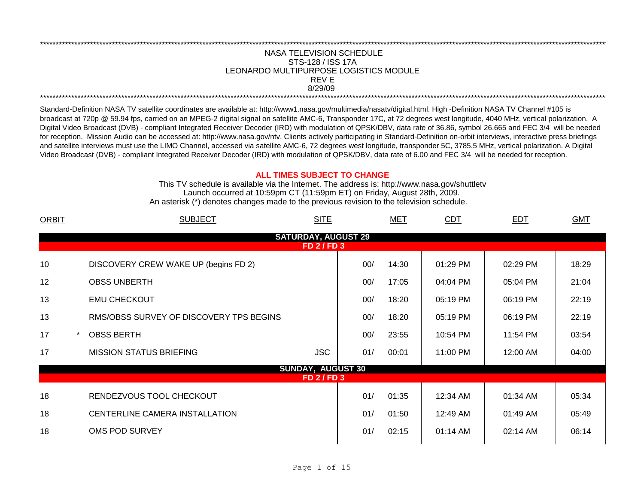## \*\*\*\*\*\*\*\*\*\*\*\*\*\*\*\*\*\*\*\*\*\*\*\*\*\*\*\*\*\*\*\*\*\*\*\*\*\*\*\*\*\*\*\*\*\*\*\*\*\*\*\*\*\*\*\*\*\*\*\*\*\*\*\*\*\*\*\*\*\*\*\*\*\*\*\*\*\*\*\*\*\*\*\*\*\*\*\*\*\*\*\*\*\*\*\*\*\*\*\*\*\*\*\*\*\*\*\*\*\*\*\*\*\*\*\*\*\*\*\*\*\*\*\*\*\*\*\*\*\*\*\*\*\*\*\*\*\*\*\*\*\*\*\*\*\*\*\*\*\*\*\*\*\*\*\*\*\*\*\*\*\*\*\*\*\*\*\*\*\*\*\*\*\*\*\*\*\*\*\*\*\*\*\*\* NASA TELEVISION SCHEDULE STS-128 / ISS 17A 8/29/09 \*\*\*\*\*\*\*\*\*\*\*\*\*\*\*\*\*\*\*\*\*\*\*\*\*\*\*\*\*\*\*\*\*\*\*\*\*\*\*\*\*\*\*\*\*\*\*\*\*\*\*\*\*\*\*\*\*\*\*\*\*\*\*\*\*\*\*\*\*\*\*\*\*\*\*\*\*\*\*\*\*\*\*\*\*\*\*\*\*\*\*\*\*\*\*\*\*\*\*\*\*\*\*\*\*\*\*\*\*\*\*\*\*\*\*\*\*\*\*\*\*\*\*\*\*\*\*\*\*\*\*\*\*\*\*\*\*\*\*\*\*\*\*\*\*\*\*\*\*\*\*\*\*\*\*\*\*\*\*\*\*\*\*\*\*\*\*\*\*\*\*\*\*\*\*\*\*\*\*\*\*\*\*\*\* REV E LEONARDO MULTIPURPOSE LOGISTICS MODULE

Standard-Definition NASA TV satellite coordinates are available at: http://www1.nasa.gov/multimedia/nasatv/digital.html. High -Definition NASA TV Channel #105 is broadcast at 720p @ 59.94 fps, carried on an MPEG-2 digital signal on satellite AMC-6, Transponder 17C, at 72 degrees west longitude, 4040 MHz, vertical polarization. A Digital Video Broadcast (DVB) - compliant Integrated Receiver Decoder (IRD) with modulation of QPSK/DBV, data rate of 36.86, symbol 26.665 and FEC 3/4 will be needed for reception. Mission Audio can be accessed at: http://www.nasa.gov/ntv. Clients actively participating in Standard-Definition on-orbit interviews, interactive press briefings and satellite interviews must use the LIMO Channel, accessed via satellite AMC-6, 72 degrees west longitude, transponder 5C, 3785.5 MHz, vertical polarization. A Digital Video Broadcast (DVB) - compliant Integrated Receiver Decoder (IRD) with modulation of QPSK/DBV, data rate of 6.00 and FEC 3/4 will be needed for reception.

## **ALL TIMES SUBJECT TO CHANGE**

Launch occurred at 10:59pm CT (11:59pm ET) on Friday, August 28th, 2009. An asterisk (\*) denotes changes made to the previous revision to the television schedule. This TV schedule is available via the Internet. The address is: http://www.nasa.gov/shuttletv

| <b>ORBIT</b> | <b>SUBJECT</b><br><b>SITE</b>                  |     | MET   | <b>CDT</b> | <b>EDT</b> | <b>GMT</b> |
|--------------|------------------------------------------------|-----|-------|------------|------------|------------|
|              | <b>SATURDAY, AUGUST 29</b><br><b>FD 2/FD 3</b> |     |       |            |            |            |
| 10           | DISCOVERY CREW WAKE UP (begins FD 2)           | 00/ | 14:30 | 01:29 PM   | 02:29 PM   | 18:29      |
| 12           | <b>OBSS UNBERTH</b>                            | 00/ | 17:05 | 04:04 PM   | 05:04 PM   | 21:04      |
| 13           | <b>EMU CHECKOUT</b>                            | 00/ | 18:20 | 05:19 PM   | 06:19 PM   | 22:19      |
| 13           | RMS/OBSS SURVEY OF DISCOVERY TPS BEGINS        | 00/ | 18:20 | 05:19 PM   | 06:19 PM   | 22:19      |
| 17           | <b>OBSS BERTH</b>                              | 00/ | 23:55 | 10:54 PM   | 11:54 PM   | 03:54      |
| 17           | <b>JSC</b><br><b>MISSION STATUS BRIEFING</b>   | 01/ | 00:01 | 11:00 PM   | 12:00 AM   | 04:00      |
|              | <b>SUNDAY, AUGUST 30</b><br><b>FD 2/FD 3</b>   |     |       |            |            |            |
| 18           | RENDEZVOUS TOOL CHECKOUT                       | 01/ | 01:35 | 12:34 AM   | 01:34 AM   | 05:34      |
| 18           | CENTERLINE CAMERA INSTALLATION                 | 01/ | 01:50 | 12:49 AM   | 01:49 AM   | 05:49      |
| 18           | OMS POD SURVEY                                 | 01/ | 02:15 | 01:14 AM   | 02:14 AM   | 06:14      |
|              |                                                |     |       |            |            |            |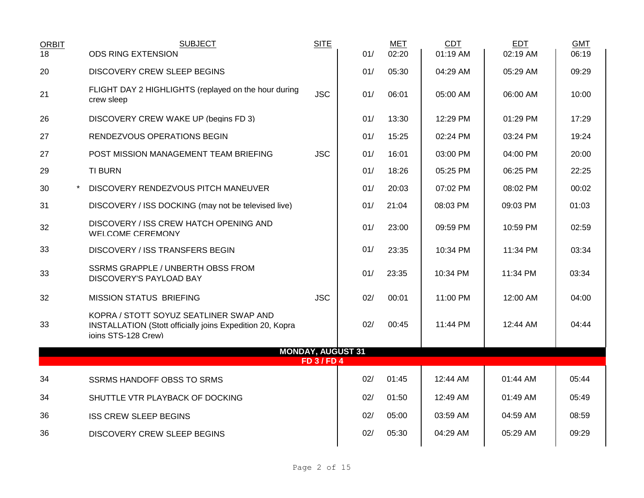| <b>ORBIT</b> | <b>SUBJECT</b>                                                                                                                    | <b>SITE</b>      |     | MET   | <b>CDT</b> | EDT      | <b>GMT</b> |
|--------------|-----------------------------------------------------------------------------------------------------------------------------------|------------------|-----|-------|------------|----------|------------|
| 18           | <b>ODS RING EXTENSION</b>                                                                                                         |                  | 01/ | 02:20 | 01:19 AM   | 02:19 AM | 06:19      |
| 20           | <b>DISCOVERY CREW SLEEP BEGINS</b>                                                                                                |                  | 01/ | 05:30 | 04:29 AM   | 05:29 AM | 09:29      |
| 21           | FLIGHT DAY 2 HIGHLIGHTS (replayed on the hour during<br>crew sleep                                                                | <b>JSC</b>       | 01/ | 06:01 | 05:00 AM   | 06:00 AM | 10:00      |
| 26           | DISCOVERY CREW WAKE UP (begins FD 3)                                                                                              |                  | 01/ | 13:30 | 12:29 PM   | 01:29 PM | 17:29      |
| 27           | RENDEZVOUS OPERATIONS BEGIN                                                                                                       |                  | 01/ | 15:25 | 02:24 PM   | 03:24 PM | 19:24      |
| 27           | POST MISSION MANAGEMENT TEAM BRIEFING                                                                                             | <b>JSC</b>       | 01/ | 16:01 | 03:00 PM   | 04:00 PM | 20:00      |
| 29           | <b>TI BURN</b>                                                                                                                    |                  | 01/ | 18:26 | 05:25 PM   | 06:25 PM | 22:25      |
| 30           | DISCOVERY RENDEZVOUS PITCH MANEUVER                                                                                               |                  | 01/ | 20:03 | 07:02 PM   | 08:02 PM | 00:02      |
| 31           | DISCOVERY / ISS DOCKING (may not be televised live)                                                                               |                  | 01/ | 21:04 | 08:03 PM   | 09:03 PM | 01:03      |
| 32           | DISCOVERY / ISS CREW HATCH OPENING AND<br><b>WELCOME CEREMONY</b>                                                                 |                  | 01/ | 23:00 | 09:59 PM   | 10:59 PM | 02:59      |
| 33           | DISCOVERY / ISS TRANSFERS BEGIN                                                                                                   |                  | 01/ | 23:35 | 10:34 PM   | 11:34 PM | 03:34      |
| 33           | SSRMS GRAPPLE / UNBERTH OBSS FROM<br>DISCOVERY'S PAYLOAD BAY                                                                      |                  | 01/ | 23:35 | 10:34 PM   | 11:34 PM | 03:34      |
| 32           | <b>MISSION STATUS BRIEFING</b>                                                                                                    | <b>JSC</b>       | 02/ | 00:01 | 11:00 PM   | 12:00 AM | 04:00      |
| 33           | KOPRA / STOTT SOYUZ SEATLINER SWAP AND<br><b>INSTALLATION (Stott officially joins Expedition 20, Kopra</b><br>ioins STS-128 Crew) |                  | 02/ | 00:45 | 11:44 PM   | 12:44 AM | 04:44      |
|              | <b>MONDAY, AUGUST 31</b>                                                                                                          | <b>FD 3/FD 4</b> |     |       |            |          |            |
| 34           | <b>SSRMS HANDOFF OBSS TO SRMS</b>                                                                                                 |                  | 02/ | 01:45 | 12:44 AM   | 01:44 AM | 05:44      |
| 34           | SHUTTLE VTR PLAYBACK OF DOCKING                                                                                                   |                  | 02/ | 01:50 | 12:49 AM   | 01:49 AM | 05:49      |
| 36           | <b>ISS CREW SLEEP BEGINS</b>                                                                                                      |                  | 02/ | 05:00 | 03:59 AM   | 04:59 AM | 08:59      |
| 36           | <b>DISCOVERY CREW SLEEP BEGINS</b>                                                                                                |                  | 02/ | 05:30 | 04:29 AM   | 05:29 AM | 09:29      |
|              |                                                                                                                                   |                  |     |       |            |          |            |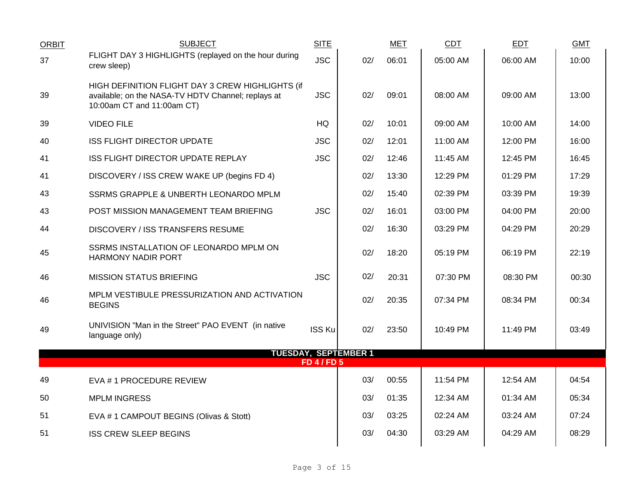| <b>ORBIT</b> | <b>SUBJECT</b>                                                                                                                       | <b>SITE</b>        |                             | <b>MET</b> | <b>CDT</b> | <b>EDT</b> | <b>GMT</b> |
|--------------|--------------------------------------------------------------------------------------------------------------------------------------|--------------------|-----------------------------|------------|------------|------------|------------|
| 37           | FLIGHT DAY 3 HIGHLIGHTS (replayed on the hour during<br>crew sleep)                                                                  | <b>JSC</b>         | 02/                         | 06:01      | 05:00 AM   | 06:00 AM   | 10:00      |
| 39           | HIGH DEFINITION FLIGHT DAY 3 CREW HIGHLIGHTS (if<br>available; on the NASA-TV HDTV Channel; replays at<br>10:00am CT and 11:00am CT) | <b>JSC</b>         | 02/                         | 09:01      | 08:00 AM   | 09:00 AM   | 13:00      |
| 39           | <b>VIDEO FILE</b>                                                                                                                    | HQ                 | 02/                         | 10:01      | 09:00 AM   | 10:00 AM   | 14:00      |
| 40           | ISS FLIGHT DIRECTOR UPDATE                                                                                                           | <b>JSC</b>         | 02/                         | 12:01      | 11:00 AM   | 12:00 PM   | 16:00      |
| 41           | ISS FLIGHT DIRECTOR UPDATE REPLAY                                                                                                    | <b>JSC</b>         | 02/                         | 12:46      | 11:45 AM   | 12:45 PM   | 16:45      |
| 41           | DISCOVERY / ISS CREW WAKE UP (begins FD 4)                                                                                           |                    | 02/                         | 13:30      | 12:29 PM   | 01:29 PM   | 17:29      |
| 43           | SSRMS GRAPPLE & UNBERTH LEONARDO MPLM                                                                                                |                    | 02/                         | 15:40      | 02:39 PM   | 03:39 PM   | 19:39      |
| 43           | POST MISSION MANAGEMENT TEAM BRIEFING                                                                                                | <b>JSC</b>         | 02/                         | 16:01      | 03:00 PM   | 04:00 PM   | 20:00      |
| 44           | DISCOVERY / ISS TRANSFERS RESUME                                                                                                     |                    | 02/                         | 16:30      | 03:29 PM   | 04:29 PM   | 20:29      |
| 45           | SSRMS INSTALLATION OF LEONARDO MPLM ON<br><b>HARMONY NADIR PORT</b>                                                                  |                    | 02/                         | 18:20      | 05:19 PM   | 06:19 PM   | 22:19      |
| 46           | <b>MISSION STATUS BRIEFING</b>                                                                                                       | <b>JSC</b>         | 02/                         | 20:31      | 07:30 PM   | 08:30 PM   | 00:30      |
| 46           | MPLM VESTIBULE PRESSURIZATION AND ACTIVATION<br><b>BEGINS</b>                                                                        |                    | 02/                         | 20:35      | 07:34 PM   | 08:34 PM   | 00:34      |
| 49           | UNIVISION "Man in the Street" PAO EVENT (in native<br>language only)                                                                 | <b>ISS Ku</b>      | 02/                         | 23:50      | 10:49 PM   | 11:49 PM   | 03:49      |
|              |                                                                                                                                      |                    | <b>TUESDAY, SEPTEMBER 1</b> |            |            |            |            |
|              |                                                                                                                                      | <b>FD 4 / FD 5</b> |                             |            |            |            |            |
| 49           | EVA #1 PROCEDURE REVIEW                                                                                                              |                    | 03/                         | 00:55      | 11:54 PM   | 12:54 AM   | 04:54      |
| 50           | <b>MPLM INGRESS</b>                                                                                                                  |                    | 03/                         | 01:35      | 12:34 AM   | 01:34 AM   | 05:34      |
| 51           | EVA # 1 CAMPOUT BEGINS (Olivas & Stott)                                                                                              |                    | 03/                         | 03:25      | 02:24 AM   | 03:24 AM   | 07:24      |
| 51           | <b>ISS CREW SLEEP BEGINS</b>                                                                                                         |                    | 03/                         | 04:30      | 03:29 AM   | 04:29 AM   | 08:29      |
|              |                                                                                                                                      |                    |                             |            |            |            |            |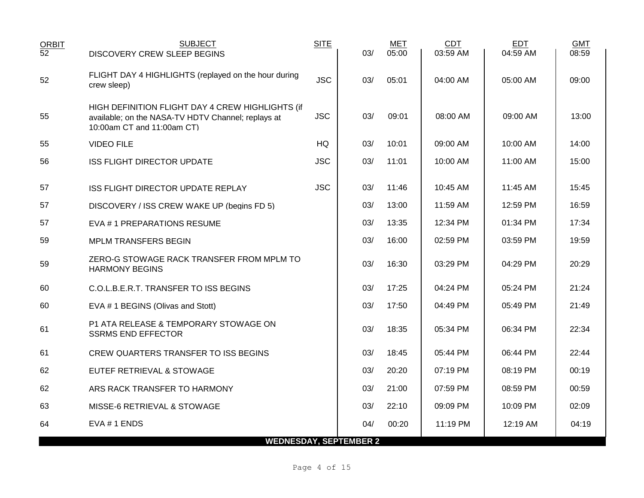| <b>ORBIT</b><br>$\overline{52}$ | <b>SUBJECT</b><br><b>DISCOVERY CREW SLEEP BEGINS</b>                                                                                 | <b>SITE</b> | 03/ | <b>MET</b><br>05:00 | <b>CDT</b><br>03:59 AM | <b>EDT</b><br>04:59 AM | <b>GMT</b><br>08:59 |
|---------------------------------|--------------------------------------------------------------------------------------------------------------------------------------|-------------|-----|---------------------|------------------------|------------------------|---------------------|
| 52                              | FLIGHT DAY 4 HIGHLIGHTS (replayed on the hour during<br>crew sleep)                                                                  | <b>JSC</b>  | 03/ | 05:01               | 04:00 AM               | 05:00 AM               | 09:00               |
| 55                              | HIGH DEFINITION FLIGHT DAY 4 CREW HIGHLIGHTS (if<br>available; on the NASA-TV HDTV Channel; replays at<br>10:00am CT and 11:00am CT) | <b>JSC</b>  | 03/ | 09:01               | 08:00 AM               | 09:00 AM               | 13:00               |
| 55                              | <b>VIDEO FILE</b>                                                                                                                    | HQ          | 03/ | 10:01               | 09:00 AM               | 10:00 AM               | 14:00               |
| 56                              | <b>ISS FLIGHT DIRECTOR UPDATE</b>                                                                                                    | <b>JSC</b>  | 03/ | 11:01               | 10:00 AM               | 11:00 AM               | 15:00               |
| 57                              | ISS FLIGHT DIRECTOR UPDATE REPLAY                                                                                                    | <b>JSC</b>  | 03/ | 11:46               | 10:45 AM               | 11:45 AM               | 15:45               |
| 57                              | DISCOVERY / ISS CREW WAKE UP (begins FD 5)                                                                                           |             | 03/ | 13:00               | 11:59 AM               | 12:59 PM               | 16:59               |
| 57                              | EVA #1 PREPARATIONS RESUME                                                                                                           |             | 03/ | 13:35               | 12:34 PM               | 01:34 PM               | 17:34               |
| 59                              | <b>MPLM TRANSFERS BEGIN</b>                                                                                                          |             | 03/ | 16:00               | 02:59 PM               | 03:59 PM               | 19:59               |
| 59                              | ZERO-G STOWAGE RACK TRANSFER FROM MPLM TO<br><b>HARMONY BEGINS</b>                                                                   |             | 03/ | 16:30               | 03:29 PM               | 04:29 PM               | 20:29               |
| 60                              | C.O.L.B.E.R.T. TRANSFER TO ISS BEGINS                                                                                                |             | 03/ | 17:25               | 04:24 PM               | 05:24 PM               | 21:24               |
| 60                              | EVA # 1 BEGINS (Olivas and Stott)                                                                                                    |             | 03/ | 17:50               | 04:49 PM               | 05:49 PM               | 21:49               |
| 61                              | P1 ATA RELEASE & TEMPORARY STOWAGE ON<br><b>SSRMS END EFFECTOR</b>                                                                   |             | 03/ | 18:35               | 05:34 PM               | 06:34 PM               | 22:34               |
| 61                              | CREW QUARTERS TRANSFER TO ISS BEGINS                                                                                                 |             | 03/ | 18:45               | 05:44 PM               | 06:44 PM               | 22:44               |
| 62                              | EUTEF RETRIEVAL & STOWAGE                                                                                                            |             | 03/ | 20:20               | 07:19 PM               | 08:19 PM               | 00:19               |
| 62                              | ARS RACK TRANSFER TO HARMONY                                                                                                         |             | 03/ | 21:00               | 07:59 PM               | 08:59 PM               | 00:59               |
| 63                              | MISSE-6 RETRIEVAL & STOWAGE                                                                                                          |             | 03/ | 22:10               | 09:09 PM               | 10:09 PM               | 02:09               |
| 64                              | EVA #1 ENDS                                                                                                                          |             | 04/ | 00:20               | 11:19 PM               | 12:19 AM               | 04:19               |
|                                 | <b>WEDNESDAY, SEPTEMBER 2</b>                                                                                                        |             |     |                     |                        |                        |                     |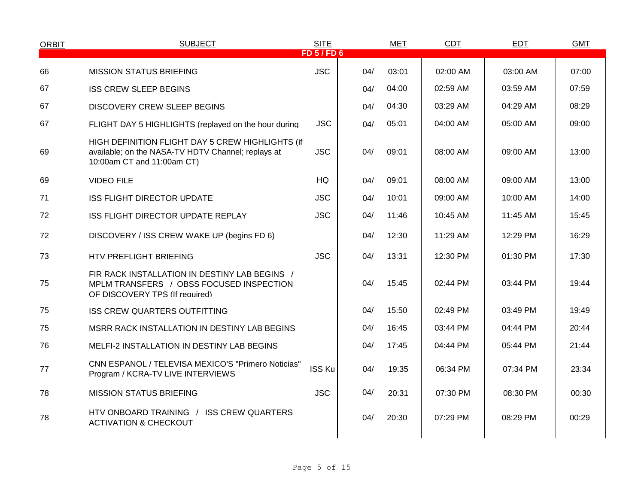| <b>ORBIT</b> | <b>SUBJECT</b>                                                                                                                       | <b>SITE</b><br>FD 5/FD 6 |     | <b>MET</b> | <b>CDT</b> | <b>EDT</b> | <b>GMT</b> |
|--------------|--------------------------------------------------------------------------------------------------------------------------------------|--------------------------|-----|------------|------------|------------|------------|
|              |                                                                                                                                      |                          |     |            |            |            |            |
| 66           | <b>MISSION STATUS BRIEFING</b>                                                                                                       | <b>JSC</b>               | 04/ | 03:01      | 02:00 AM   | 03:00 AM   | 07:00      |
| 67           | <b>ISS CREW SLEEP BEGINS</b>                                                                                                         |                          | 04/ | 04:00      | 02:59 AM   | 03:59 AM   | 07:59      |
| 67           | <b>DISCOVERY CREW SLEEP BEGINS</b>                                                                                                   |                          | 04/ | 04:30      | 03:29 AM   | 04:29 AM   | 08:29      |
| 67           | FLIGHT DAY 5 HIGHLIGHTS (replayed on the hour during                                                                                 | <b>JSC</b>               | 04/ | 05:01      | 04:00 AM   | 05:00 AM   | 09:00      |
| 69           | HIGH DEFINITION FLIGHT DAY 5 CREW HIGHLIGHTS (if<br>available; on the NASA-TV HDTV Channel; replays at<br>10:00am CT and 11:00am CT) | <b>JSC</b>               | 04/ | 09:01      | 08:00 AM   | 09:00 AM   | 13:00      |
| 69           | <b>VIDEO FILE</b>                                                                                                                    | HQ                       | 04/ | 09:01      | 08:00 AM   | 09:00 AM   | 13:00      |
| 71           | <b>ISS FLIGHT DIRECTOR UPDATE</b>                                                                                                    | <b>JSC</b>               | 04/ | 10:01      | 09:00 AM   | 10:00 AM   | 14:00      |
| 72           | ISS FLIGHT DIRECTOR UPDATE REPLAY                                                                                                    | <b>JSC</b>               | 04/ | 11:46      | 10:45 AM   | 11:45 AM   | 15:45      |
| 72           | DISCOVERY / ISS CREW WAKE UP (begins FD 6)                                                                                           |                          | 04/ | 12:30      | 11:29 AM   | 12:29 PM   | 16:29      |
| 73           | HTV PREFLIGHT BRIEFING                                                                                                               | <b>JSC</b>               | 04/ | 13:31      | 12:30 PM   | 01:30 PM   | 17:30      |
| 75           | FIR RACK INSTALLATION IN DESTINY LAB BEGINS /<br>MPLM TRANSFERS / OBSS FOCUSED INSPECTION<br>OF DISCOVERY TPS (If required)          |                          | 04/ | 15:45      | 02:44 PM   | 03:44 PM   | 19:44      |
| 75           | <b>ISS CREW QUARTERS OUTFITTING</b>                                                                                                  |                          | 04/ | 15:50      | 02:49 PM   | 03:49 PM   | 19:49      |
| 75           | MSRR RACK INSTALLATION IN DESTINY LAB BEGINS                                                                                         |                          | 04/ | 16:45      | 03:44 PM   | 04:44 PM   | 20:44      |
| 76           | MELFI-2 INSTALLATION IN DESTINY LAB BEGINS                                                                                           |                          | 04/ | 17:45      | 04:44 PM   | 05:44 PM   | 21:44      |
| 77           | CNN ESPANOL / TELEVISA MEXICO'S "Primero Noticias"<br>Program / KCRA-TV LIVE INTERVIEWS                                              | <b>ISS Ku</b>            | 04/ | 19:35      | 06:34 PM   | 07:34 PM   | 23:34      |
| 78           | <b>MISSION STATUS BRIEFING</b>                                                                                                       | <b>JSC</b>               | 04/ | 20:31      | 07:30 PM   | 08:30 PM   | 00:30      |
| 78           | HTV ONBOARD TRAINING / ISS CREW QUARTERS<br><b>ACTIVATION &amp; CHECKOUT</b>                                                         |                          | 04/ | 20:30      | 07:29 PM   | 08:29 PM   | 00:29      |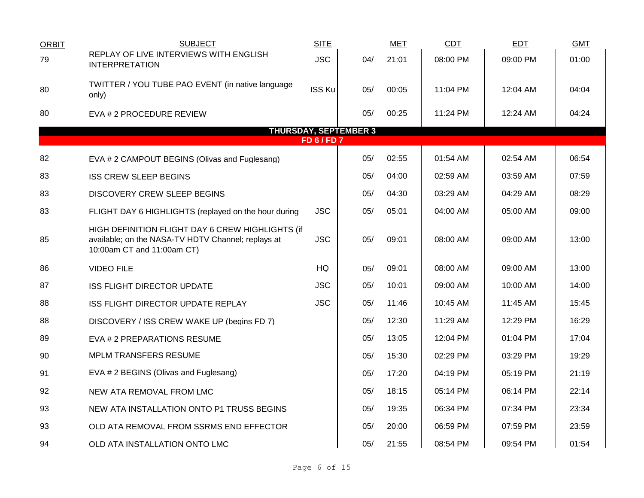| <b>ORBIT</b> | <b>SUBJECT</b>                                                                                                                       | <b>SITE</b>      |                              | <b>MET</b> | <b>CDT</b> | <b>EDT</b> | <b>GMT</b> |
|--------------|--------------------------------------------------------------------------------------------------------------------------------------|------------------|------------------------------|------------|------------|------------|------------|
| 79           | REPLAY OF LIVE INTERVIEWS WITH ENGLISH<br><b>INTERPRETATION</b>                                                                      | <b>JSC</b>       | 04/                          | 21:01      | 08:00 PM   | 09:00 PM   | 01:00      |
| 80           | TWITTER / YOU TUBE PAO EVENT (in native language<br>only)                                                                            | <b>ISS Ku</b>    | 05/                          | 00:05      | 11:04 PM   | 12:04 AM   | 04:04      |
| 80           | EVA # 2 PROCEDURE REVIEW                                                                                                             |                  | 05/                          | 00:25      | 11:24 PM   | 12:24 AM   | 04:24      |
|              |                                                                                                                                      | <b>FD 6/FD 7</b> | <b>THURSDAY, SEPTEMBER 3</b> |            |            |            |            |
|              |                                                                                                                                      |                  |                              |            |            |            |            |
| 82           | EVA # 2 CAMPOUT BEGINS (Olivas and Fuglesang)                                                                                        |                  | 05/                          | 02:55      | 01:54 AM   | 02:54 AM   | 06:54      |
| 83           | <b>ISS CREW SLEEP BEGINS</b>                                                                                                         |                  | 05/                          | 04:00      | 02:59 AM   | 03:59 AM   | 07:59      |
| 83           | DISCOVERY CREW SLEEP BEGINS                                                                                                          |                  | 05/                          | 04:30      | 03:29 AM   | 04:29 AM   | 08:29      |
| 83           | FLIGHT DAY 6 HIGHLIGHTS (replayed on the hour during                                                                                 | <b>JSC</b>       | 05/                          | 05:01      | 04:00 AM   | 05:00 AM   | 09:00      |
| 85           | HIGH DEFINITION FLIGHT DAY 6 CREW HIGHLIGHTS (if<br>available; on the NASA-TV HDTV Channel; replays at<br>10:00am CT and 11:00am CT) | <b>JSC</b>       | 05/                          | 09:01      | 08:00 AM   | 09:00 AM   | 13:00      |
| 86           | <b>VIDEO FILE</b>                                                                                                                    | HQ               | 05/                          | 09:01      | 08:00 AM   | 09:00 AM   | 13:00      |
| 87           | <b>ISS FLIGHT DIRECTOR UPDATE</b>                                                                                                    | <b>JSC</b>       | 05/                          | 10:01      | 09:00 AM   | 10:00 AM   | 14:00      |
| 88           | ISS FLIGHT DIRECTOR UPDATE REPLAY                                                                                                    | <b>JSC</b>       | 05/                          | 11:46      | 10:45 AM   | 11:45 AM   | 15:45      |
| 88           | DISCOVERY / ISS CREW WAKE UP (begins FD 7)                                                                                           |                  | 05/                          | 12:30      | 11:29 AM   | 12:29 PM   | 16:29      |
| 89           | EVA # 2 PREPARATIONS RESUME                                                                                                          |                  | 05/                          | 13:05      | 12:04 PM   | 01:04 PM   | 17:04      |
| 90           | <b>MPLM TRANSFERS RESUME</b>                                                                                                         |                  | 05/                          | 15:30      | 02:29 PM   | 03:29 PM   | 19:29      |
| 91           | EVA # 2 BEGINS (Olivas and Fuglesang)                                                                                                |                  | 05/                          | 17:20      | 04:19 PM   | 05:19 PM   | 21:19      |
| 92           | NEW ATA REMOVAL FROM LMC                                                                                                             |                  | 05/                          | 18:15      | 05:14 PM   | 06:14 PM   | 22:14      |
| 93           | NEW ATA INSTALLATION ONTO P1 TRUSS BEGINS                                                                                            |                  | 05/                          | 19:35      | 06:34 PM   | 07:34 PM   | 23:34      |
| 93           | OLD ATA REMOVAL FROM SSRMS END EFFECTOR                                                                                              |                  | 05/                          | 20:00      | 06:59 PM   | 07:59 PM   | 23:59      |
| 94           | OLD ATA INSTALLATION ONTO LMC                                                                                                        |                  | 05/                          | 21:55      | 08:54 PM   | 09:54 PM   | 01:54      |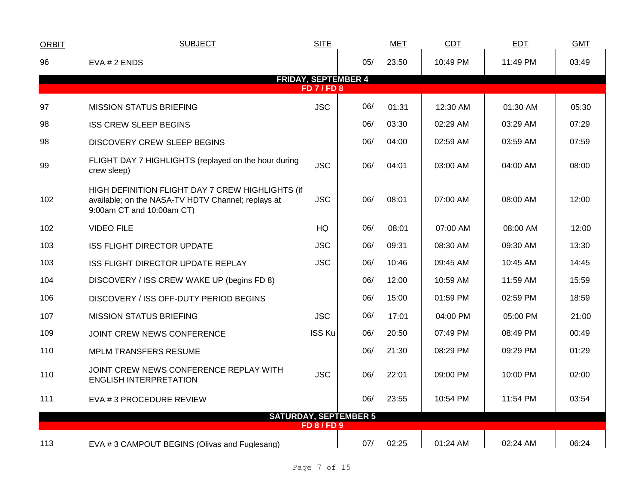| <b>ORBIT</b> | <b>SUBJECT</b>                                                                                                                      | <b>SITE</b>        |                              | <b>MET</b> | <b>CDT</b> | <b>EDT</b> | <b>GMT</b> |
|--------------|-------------------------------------------------------------------------------------------------------------------------------------|--------------------|------------------------------|------------|------------|------------|------------|
| 96           | EVA # 2 ENDS                                                                                                                        |                    | 05/                          | 23:50      | 10:49 PM   | 11:49 PM   | 03:49      |
|              |                                                                                                                                     | <b>FD 7/FD 8</b>   | <b>FRIDAY, SEPTEMBER 4</b>   |            |            |            |            |
|              |                                                                                                                                     |                    |                              |            |            |            |            |
| 97           | <b>MISSION STATUS BRIEFING</b>                                                                                                      | <b>JSC</b>         | 06/                          | 01:31      | 12:30 AM   | 01:30 AM   | 05:30      |
| 98           | <b>ISS CREW SLEEP BEGINS</b>                                                                                                        |                    | 06/                          | 03:30      | 02:29 AM   | 03:29 AM   | 07:29      |
| 98           | <b>DISCOVERY CREW SLEEP BEGINS</b>                                                                                                  |                    | 06/                          | 04:00      | 02:59 AM   | 03:59 AM   | 07:59      |
| 99           | FLIGHT DAY 7 HIGHLIGHTS (replayed on the hour during<br>crew sleep)                                                                 | <b>JSC</b>         | 06/                          | 04:01      | 03:00 AM   | 04:00 AM   | 08:00      |
| 102          | HIGH DEFINITION FLIGHT DAY 7 CREW HIGHLIGHTS (if<br>available; on the NASA-TV HDTV Channel; replays at<br>9:00am CT and 10:00am CT) | <b>JSC</b>         | 06/                          | 08:01      | 07:00 AM   | 08:00 AM   | 12:00      |
| 102          | <b>VIDEO FILE</b>                                                                                                                   | HQ                 | 06/                          | 08:01      | 07:00 AM   | 08:00 AM   | 12:00      |
| 103          | <b>ISS FLIGHT DIRECTOR UPDATE</b>                                                                                                   | <b>JSC</b>         | 06/                          | 09:31      | 08:30 AM   | 09:30 AM   | 13:30      |
| 103          | ISS FLIGHT DIRECTOR UPDATE REPLAY                                                                                                   | <b>JSC</b>         | 06/                          | 10:46      | 09:45 AM   | 10:45 AM   | 14:45      |
| 104          | DISCOVERY / ISS CREW WAKE UP (begins FD 8)                                                                                          |                    | 06/                          | 12:00      | 10:59 AM   | 11:59 AM   | 15:59      |
| 106          | DISCOVERY / ISS OFF-DUTY PERIOD BEGINS                                                                                              |                    | 06/                          | 15:00      | 01:59 PM   | 02:59 PM   | 18:59      |
| 107          | <b>MISSION STATUS BRIEFING</b>                                                                                                      | <b>JSC</b>         | 06/                          | 17:01      | 04:00 PM   | 05:00 PM   | 21:00      |
| 109          | JOINT CREW NEWS CONFERENCE                                                                                                          | <b>ISS Ku</b>      | 06/                          | 20:50      | 07:49 PM   | 08:49 PM   | 00:49      |
| 110          | <b>MPLM TRANSFERS RESUME</b>                                                                                                        |                    | 06/                          | 21:30      | 08:29 PM   | 09:29 PM   | 01:29      |
| 110          | JOINT CREW NEWS CONFERENCE REPLAY WITH<br><b>ENGLISH INTERPRETATION</b>                                                             | <b>JSC</b>         | 06/                          | 22:01      | 09:00 PM   | 10:00 PM   | 02:00      |
| 111          | EVA # 3 PROCEDURE REVIEW                                                                                                            |                    | 06/                          | 23:55      | 10:54 PM   | 11:54 PM   | 03:54      |
|              |                                                                                                                                     |                    | <b>SATURDAY, SEPTEMBER 5</b> |            |            |            |            |
|              |                                                                                                                                     | <b>FD 8 / FD 9</b> |                              |            |            |            |            |
| 113          | EVA #3 CAMPOUT BEGINS (Olivas and Fuglesang)                                                                                        |                    | 07/                          | 02:25      | 01:24 AM   | 02:24 AM   | 06:24      |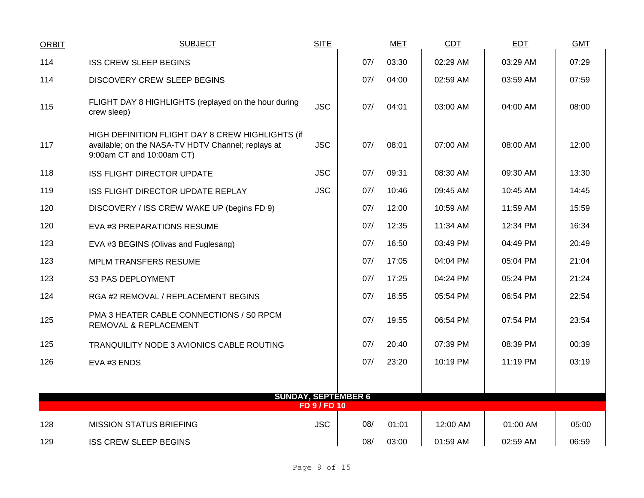| <b>ORBIT</b> | <b>SUBJECT</b>                                                                                                                      | <b>SITE</b>         |                            | <b>MET</b> | <b>CDT</b> | <b>EDT</b> | <b>GMT</b> |
|--------------|-------------------------------------------------------------------------------------------------------------------------------------|---------------------|----------------------------|------------|------------|------------|------------|
| 114          | <b>ISS CREW SLEEP BEGINS</b>                                                                                                        |                     | 07/                        | 03:30      | 02:29 AM   | 03:29 AM   | 07:29      |
| 114          | <b>DISCOVERY CREW SLEEP BEGINS</b>                                                                                                  |                     | 07/                        | 04:00      | 02:59 AM   | 03:59 AM   | 07:59      |
| 115          | FLIGHT DAY 8 HIGHLIGHTS (replayed on the hour during<br>crew sleep)                                                                 | <b>JSC</b>          | 07/                        | 04:01      | 03:00 AM   | 04:00 AM   | 08:00      |
| 117          | HIGH DEFINITION FLIGHT DAY 8 CREW HIGHLIGHTS (if<br>available; on the NASA-TV HDTV Channel; replays at<br>9:00am CT and 10:00am CT) | <b>JSC</b>          | 07/                        | 08:01      | 07:00 AM   | 08:00 AM   | 12:00      |
| 118          | <b>ISS FLIGHT DIRECTOR UPDATE</b>                                                                                                   | <b>JSC</b>          | 07/                        | 09:31      | 08:30 AM   | 09:30 AM   | 13:30      |
| 119          | ISS FLIGHT DIRECTOR UPDATE REPLAY                                                                                                   | <b>JSC</b>          | 07/                        | 10:46      | 09:45 AM   | 10:45 AM   | 14:45      |
| 120          | DISCOVERY / ISS CREW WAKE UP (begins FD 9)                                                                                          |                     | 07/                        | 12:00      | 10:59 AM   | 11:59 AM   | 15:59      |
| 120          | EVA #3 PREPARATIONS RESUME                                                                                                          |                     | 07/                        | 12:35      | 11:34 AM   | 12:34 PM   | 16:34      |
| 123          | EVA #3 BEGINS (Olivas and Fuglesang)                                                                                                |                     | 07/                        | 16:50      | 03:49 PM   | 04:49 PM   | 20:49      |
| 123          | MPLM TRANSFERS RESUME                                                                                                               |                     | 07/                        | 17:05      | 04:04 PM   | 05:04 PM   | 21:04      |
| 123          | S3 PAS DEPLOYMENT                                                                                                                   |                     | 07/                        | 17:25      | 04:24 PM   | 05:24 PM   | 21:24      |
| 124          | RGA #2 REMOVAL / REPLACEMENT BEGINS                                                                                                 |                     | 07/                        | 18:55      | 05:54 PM   | 06:54 PM   | 22:54      |
| 125          | PMA 3 HEATER CABLE CONNECTIONS / S0 RPCM<br>REMOVAL & REPLACEMENT                                                                   |                     | 07/                        | 19:55      | 06:54 PM   | 07:54 PM   | 23:54      |
| 125          | TRANQUILITY NODE 3 AVIONICS CABLE ROUTING                                                                                           |                     | 07/                        | 20:40      | 07:39 PM   | 08:39 PM   | 00:39      |
| 126          | EVA #3 ENDS                                                                                                                         |                     | 07/                        | 23:20      | 10:19 PM   | 11:19 PM   | 03:19      |
|              |                                                                                                                                     |                     |                            |            |            |            |            |
|              |                                                                                                                                     | <b>FD 9 / FD 10</b> | <b>SUNDAY, SEPTEMBER 6</b> |            |            |            |            |
| 128          | <b>MISSION STATUS BRIEFING</b>                                                                                                      | <b>JSC</b>          | 08/                        | 01:01      | 12:00 AM   | 01:00 AM   | 05:00      |
| 129          | <b>ISS CREW SLEEP BEGINS</b>                                                                                                        |                     | 08/                        | 03:00      | 01:59 AM   | 02:59 AM   | 06:59      |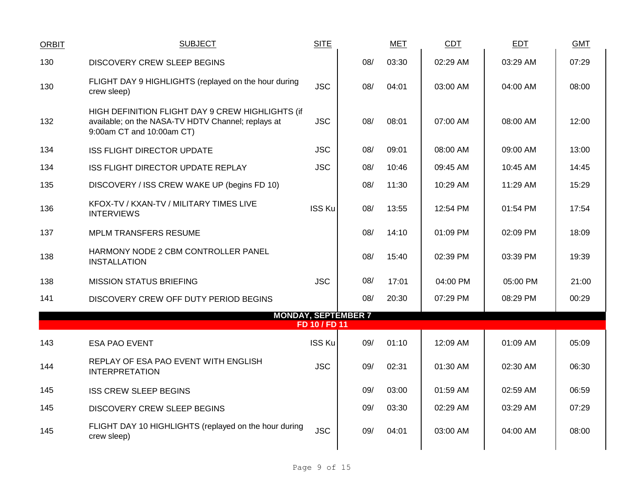| ORBIT | <b>SUBJECT</b>                                                                                                                      | <b>SITE</b>   |                            | <b>MET</b> | CDT      | EDT      | <b>GMT</b> |
|-------|-------------------------------------------------------------------------------------------------------------------------------------|---------------|----------------------------|------------|----------|----------|------------|
| 130   | DISCOVERY CREW SLEEP BEGINS                                                                                                         |               | 08/                        | 03:30      | 02:29 AM | 03:29 AM | 07:29      |
| 130   | FLIGHT DAY 9 HIGHLIGHTS (replayed on the hour during<br>crew sleep)                                                                 | <b>JSC</b>    | 08/                        | 04:01      | 03:00 AM | 04:00 AM | 08:00      |
| 132   | HIGH DEFINITION FLIGHT DAY 9 CREW HIGHLIGHTS (if<br>available; on the NASA-TV HDTV Channel; replays at<br>9:00am CT and 10:00am CT) | <b>JSC</b>    | 08/                        | 08:01      | 07:00 AM | 08:00 AM | 12:00      |
| 134   | <b>ISS FLIGHT DIRECTOR UPDATE</b>                                                                                                   | <b>JSC</b>    | 08/                        | 09:01      | 08:00 AM | 09:00 AM | 13:00      |
| 134   | ISS FLIGHT DIRECTOR UPDATE REPLAY                                                                                                   | <b>JSC</b>    | 08/                        | 10:46      | 09:45 AM | 10:45 AM | 14:45      |
| 135   | DISCOVERY / ISS CREW WAKE UP (begins FD 10)                                                                                         |               | 08/                        | 11:30      | 10:29 AM | 11:29 AM | 15:29      |
| 136   | KFOX-TV / KXAN-TV / MILITARY TIMES LIVE<br><b>INTERVIEWS</b>                                                                        | <b>ISS Ku</b> | 08/                        | 13:55      | 12:54 PM | 01:54 PM | 17:54      |
| 137   | <b>MPLM TRANSFERS RESUME</b>                                                                                                        |               | 08/                        | 14:10      | 01:09 PM | 02:09 PM | 18:09      |
| 138   | HARMONY NODE 2 CBM CONTROLLER PANEL<br><b>INSTALLATION</b>                                                                          |               | 08/                        | 15:40      | 02:39 PM | 03:39 PM | 19:39      |
| 138   | <b>MISSION STATUS BRIEFING</b>                                                                                                      | <b>JSC</b>    | 08/                        | 17:01      | 04:00 PM | 05:00 PM | 21:00      |
| 141   | DISCOVERY CREW OFF DUTY PERIOD BEGINS                                                                                               |               | 08/                        | 20:30      | 07:29 PM | 08:29 PM | 00:29      |
|       |                                                                                                                                     | FD 10 / FD 11 | <b>MONDAY, SEPTEMBER 7</b> |            |          |          |            |
|       |                                                                                                                                     | <b>ISS Ku</b> | 09/                        | 01:10      | 12:09 AM | 01:09 AM | 05:09      |
| 143   | <b>ESA PAO EVENT</b>                                                                                                                |               |                            |            |          |          |            |
| 144   | REPLAY OF ESA PAO EVENT WITH ENGLISH<br><b>INTERPRETATION</b>                                                                       | <b>JSC</b>    | 09/                        | 02:31      | 01:30 AM | 02:30 AM | 06:30      |
| 145   | <b>ISS CREW SLEEP BEGINS</b>                                                                                                        |               | 09/                        | 03:00      | 01:59 AM | 02:59 AM | 06:59      |
| 145   | DISCOVERY CREW SLEEP BEGINS                                                                                                         |               | 09/                        | 03:30      | 02:29 AM | 03:29 AM | 07:29      |
| 145   | FLIGHT DAY 10 HIGHLIGHTS (replayed on the hour during<br>crew sleep)                                                                | <b>JSC</b>    | 09/                        | 04:01      | 03:00 AM | 04:00 AM | 08:00      |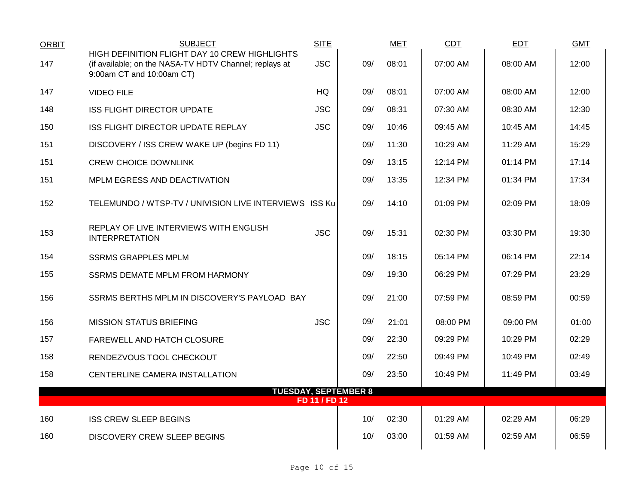| <b>ORBIT</b> | <b>SUBJECT</b><br>HIGH DEFINITION FLIGHT DAY 10 CREW HIGHLIGHTS                     | <b>SITE</b>   |     | <b>MET</b> | <b>CDT</b> | <b>EDT</b> | <b>GMT</b> |
|--------------|-------------------------------------------------------------------------------------|---------------|-----|------------|------------|------------|------------|
| 147          | (if available; on the NASA-TV HDTV Channel; replays at<br>9:00am CT and 10:00am CT) | <b>JSC</b>    | 09/ | 08:01      | 07:00 AM   | 08:00 AM   | 12:00      |
| 147          | <b>VIDEO FILE</b>                                                                   | HQ            | 09/ | 08:01      | 07:00 AM   | 08:00 AM   | 12:00      |
| 148          | <b>ISS FLIGHT DIRECTOR UPDATE</b>                                                   | <b>JSC</b>    | 09/ | 08:31      | 07:30 AM   | 08:30 AM   | 12:30      |
| 150          | ISS FLIGHT DIRECTOR UPDATE REPLAY                                                   | <b>JSC</b>    | 09/ | 10:46      | 09:45 AM   | 10:45 AM   | 14:45      |
| 151          | DISCOVERY / ISS CREW WAKE UP (begins FD 11)                                         |               | 09/ | 11:30      | 10:29 AM   | 11:29 AM   | 15:29      |
| 151          | <b>CREW CHOICE DOWNLINK</b>                                                         |               | 09/ | 13:15      | 12:14 PM   | 01:14 PM   | 17:14      |
| 151          | MPLM EGRESS AND DEACTIVATION                                                        |               | 09/ | 13:35      | 12:34 PM   | 01:34 PM   | 17:34      |
| 152          | TELEMUNDO / WTSP-TV / UNIVISION LIVE INTERVIEWS ISS Ku                              |               | 09/ | 14:10      | 01:09 PM   | 02:09 PM   | 18:09      |
| 153          | REPLAY OF LIVE INTERVIEWS WITH ENGLISH<br><b>INTERPRETATION</b>                     | <b>JSC</b>    | 09/ | 15:31      | 02:30 PM   | 03:30 PM   | 19:30      |
| 154          | <b>SSRMS GRAPPLES MPLM</b>                                                          |               | 09/ | 18:15      | 05:14 PM   | 06:14 PM   | 22:14      |
| 155          | SSRMS DEMATE MPLM FROM HARMONY                                                      |               | 09/ | 19:30      | 06:29 PM   | 07:29 PM   | 23:29      |
| 156          | SSRMS BERTHS MPLM IN DISCOVERY'S PAYLOAD BAY                                        |               | 09/ | 21:00      | 07:59 PM   | 08:59 PM   | 00:59      |
| 156          | <b>MISSION STATUS BRIEFING</b>                                                      | <b>JSC</b>    | 09/ | 21:01      | 08:00 PM   | 09:00 PM   | 01:00      |
| 157          | FAREWELL AND HATCH CLOSURE                                                          |               | 09/ | 22:30      | 09:29 PM   | 10:29 PM   | 02:29      |
| 158          | RENDEZVOUS TOOL CHECKOUT                                                            |               | 09/ | 22:50      | 09:49 PM   | 10:49 PM   | 02:49      |
| 158          | CENTERLINE CAMERA INSTALLATION                                                      |               | 09/ | 23:50      | 10:49 PM   | 11:49 PM   | 03:49      |
|              | <b>TUESDAY, SEPTEMBER 8</b>                                                         | FD 11 / FD 12 |     |            |            |            |            |
| 160          | <b>ISS CREW SLEEP BEGINS</b>                                                        |               | 10/ | 02:30      | 01:29 AM   | 02:29 AM   | 06:29      |
| 160          | DISCOVERY CREW SLEEP BEGINS                                                         |               | 10/ | 03:00      | 01:59 AM   | 02:59 AM   | 06:59      |
|              |                                                                                     |               |     |            |            |            |            |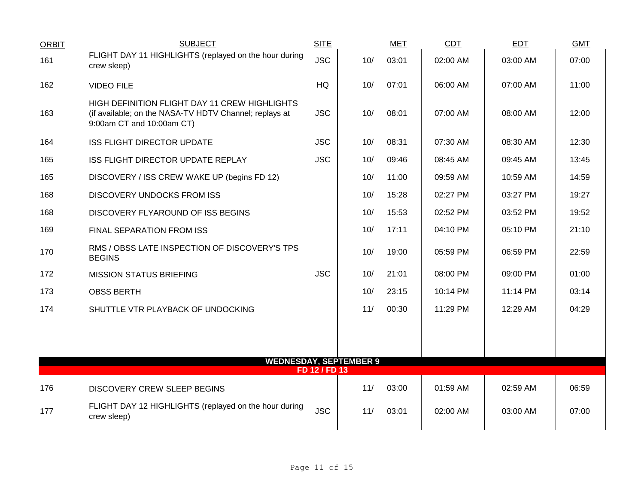| <b>ORBIT</b> | <b>SUBJECT</b>                                                                                                                       | <b>SITE</b>   |     | <b>MET</b> | CDT      | <b>EDT</b> | <b>GMT</b> |
|--------------|--------------------------------------------------------------------------------------------------------------------------------------|---------------|-----|------------|----------|------------|------------|
| 161          | FLIGHT DAY 11 HIGHLIGHTS (replayed on the hour during<br>crew sleep)                                                                 | <b>JSC</b>    | 10/ | 03:01      | 02:00 AM | 03:00 AM   | 07:00      |
| 162          | <b>VIDEO FILE</b>                                                                                                                    | HQ            | 10/ | 07:01      | 06:00 AM | 07:00 AM   | 11:00      |
| 163          | HIGH DEFINITION FLIGHT DAY 11 CREW HIGHLIGHTS<br>(if available; on the NASA-TV HDTV Channel; replays at<br>9:00am CT and 10:00am CT) | <b>JSC</b>    | 10/ | 08:01      | 07:00 AM | 08:00 AM   | 12:00      |
| 164          | <b>ISS FLIGHT DIRECTOR UPDATE</b>                                                                                                    | <b>JSC</b>    | 10/ | 08:31      | 07:30 AM | 08:30 AM   | 12:30      |
| 165          | ISS FLIGHT DIRECTOR UPDATE REPLAY                                                                                                    | <b>JSC</b>    | 10/ | 09:46      | 08:45 AM | 09:45 AM   | 13:45      |
| 165          | DISCOVERY / ISS CREW WAKE UP (begins FD 12)                                                                                          |               | 10/ | 11:00      | 09:59 AM | 10:59 AM   | 14:59      |
| 168          | <b>DISCOVERY UNDOCKS FROM ISS</b>                                                                                                    |               | 10/ | 15:28      | 02:27 PM | 03:27 PM   | 19:27      |
| 168          | DISCOVERY FLYAROUND OF ISS BEGINS                                                                                                    |               | 10/ | 15:53      | 02:52 PM | 03:52 PM   | 19:52      |
| 169          | FINAL SEPARATION FROM ISS                                                                                                            |               | 10/ | 17:11      | 04:10 PM | 05:10 PM   | 21:10      |
| 170          | RMS / OBSS LATE INSPECTION OF DISCOVERY'S TPS<br><b>BEGINS</b>                                                                       |               | 10/ | 19:00      | 05:59 PM | 06:59 PM   | 22:59      |
| 172          | <b>MISSION STATUS BRIEFING</b>                                                                                                       | <b>JSC</b>    | 10/ | 21:01      | 08:00 PM | 09:00 PM   | 01:00      |
| 173          | <b>OBSS BERTH</b>                                                                                                                    |               | 10/ | 23:15      | 10:14 PM | 11:14 PM   | 03:14      |
| 174          | SHUTTLE VTR PLAYBACK OF UNDOCKING                                                                                                    |               | 11/ | 00:30      | 11:29 PM | 12:29 AM   | 04:29      |
|              |                                                                                                                                      |               |     |            |          |            |            |
|              |                                                                                                                                      |               |     |            |          |            |            |
|              | <b>WEDNESDAY, SEPTEMBER 9</b>                                                                                                        | FD 12 / FD 13 |     |            |          |            |            |
| 176          | <b>DISCOVERY CREW SLEEP BEGINS</b>                                                                                                   |               | 11/ | 03:00      | 01:59 AM | 02:59 AM   | 06:59      |
| 177          | FLIGHT DAY 12 HIGHLIGHTS (replayed on the hour during<br>crew sleep)                                                                 | <b>JSC</b>    | 11/ | 03:01      | 02:00 AM | 03:00 AM   | 07:00      |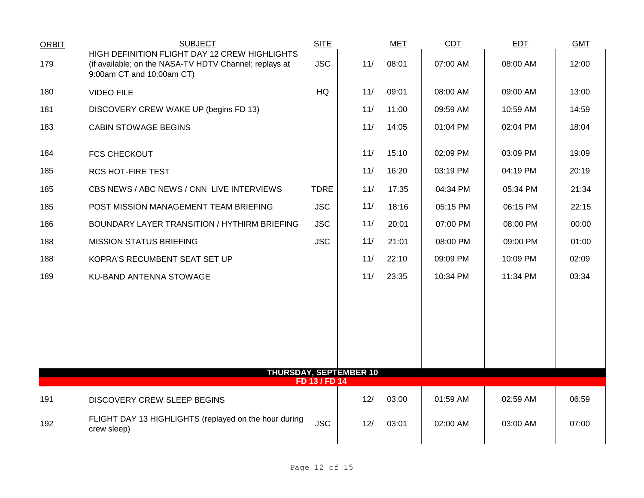| <b>ORBIT</b> | <b>SUBJECT</b>                                                                                                                       | <b>SITE</b>   |                               | <b>MET</b> | CDT      | <b>EDT</b> | <b>GMT</b> |
|--------------|--------------------------------------------------------------------------------------------------------------------------------------|---------------|-------------------------------|------------|----------|------------|------------|
| 179          | HIGH DEFINITION FLIGHT DAY 12 CREW HIGHLIGHTS<br>(if available; on the NASA-TV HDTV Channel; replays at<br>9:00am CT and 10:00am CT) | <b>JSC</b>    | 11/                           | 08:01      | 07:00 AM | 08:00 AM   | 12:00      |
| 180          | <b>VIDEO FILE</b>                                                                                                                    | <b>HQ</b>     | 11/                           | 09:01      | 08:00 AM | 09:00 AM   | 13:00      |
| 181          | DISCOVERY CREW WAKE UP (begins FD 13)                                                                                                |               | 11/                           | 11:00      | 09:59 AM | 10:59 AM   | 14:59      |
| 183          | <b>CABIN STOWAGE BEGINS</b>                                                                                                          |               | 11/                           | 14:05      | 01:04 PM | 02:04 PM   | 18:04      |
| 184          | <b>FCS CHECKOUT</b>                                                                                                                  |               | 11/                           | 15:10      | 02:09 PM | 03:09 PM   | 19:09      |
| 185          | <b>RCS HOT-FIRE TEST</b>                                                                                                             |               | 11/                           | 16:20      | 03:19 PM | 04:19 PM   | 20:19      |
| 185          | CBS NEWS / ABC NEWS / CNN LIVE INTERVIEWS                                                                                            | <b>TDRE</b>   | 11/                           | 17:35      | 04:34 PM | 05:34 PM   | 21:34      |
| 185          | POST MISSION MANAGEMENT TEAM BRIEFING                                                                                                | <b>JSC</b>    | 11/                           | 18:16      | 05:15 PM | 06:15 PM   | 22:15      |
| 186          | BOUNDARY LAYER TRANSITION / HYTHIRM BRIEFING                                                                                         | <b>JSC</b>    | 11/                           | 20:01      | 07:00 PM | 08:00 PM   | 00:00      |
| 188          | <b>MISSION STATUS BRIEFING</b>                                                                                                       | <b>JSC</b>    | 11/                           | 21:01      | 08:00 PM | 09:00 PM   | 01:00      |
| 188          | KOPRA'S RECUMBENT SEAT SET UP                                                                                                        |               | 11/                           | 22:10      | 09:09 PM | 10:09 PM   | 02:09      |
| 189          | <b>KU-BAND ANTENNA STOWAGE</b>                                                                                                       |               | 11/                           | 23:35      | 10:34 PM | 11:34 PM   | 03:34      |
|              |                                                                                                                                      |               |                               |            |          |            |            |
|              |                                                                                                                                      |               |                               |            |          |            |            |
|              |                                                                                                                                      |               | <b>THURSDAY, SEPTEMBER 10</b> |            |          |            |            |
|              |                                                                                                                                      | FD 13 / FD 14 |                               |            |          |            |            |
| 191          | <b>DISCOVERY CREW SLEEP BEGINS</b>                                                                                                   |               | 12/                           | 03:00      | 01:59 AM | 02:59 AM   | 06:59      |
| 192          | FLIGHT DAY 13 HIGHLIGHTS (replayed on the hour during<br>crew sleep)                                                                 | <b>JSC</b>    | 12/                           | 03:01      | 02:00 AM | 03:00 AM   | 07:00      |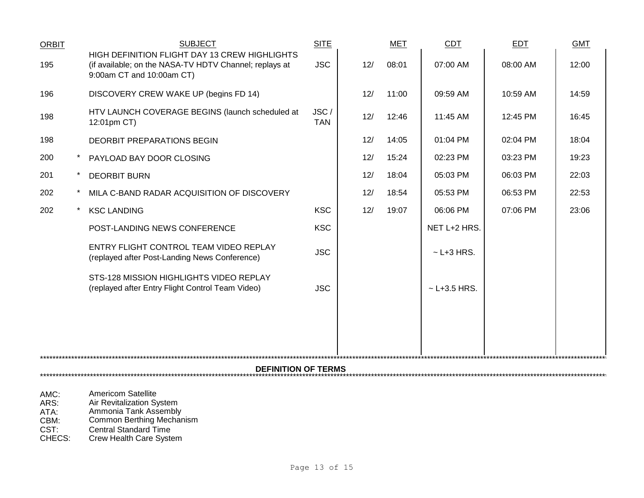| <b>ORBIT</b>               |  | <b>SUBJECT</b>                                                                                                                       | <b>SITE</b>        |     | <b>MET</b> | <b>CDT</b>       | <b>EDT</b> | <b>GMT</b> |  |
|----------------------------|--|--------------------------------------------------------------------------------------------------------------------------------------|--------------------|-----|------------|------------------|------------|------------|--|
| 195                        |  | HIGH DEFINITION FLIGHT DAY 13 CREW HIGHLIGHTS<br>(if available; on the NASA-TV HDTV Channel; replays at<br>9:00am CT and 10:00am CT) | <b>JSC</b>         | 12/ | 08:01      | 07:00 AM         | 08:00 AM   | 12:00      |  |
| 196                        |  | DISCOVERY CREW WAKE UP (begins FD 14)                                                                                                |                    | 12/ | 11:00      | 09:59 AM         | 10:59 AM   | 14:59      |  |
| 198                        |  | HTV LAUNCH COVERAGE BEGINS (launch scheduled at<br>12:01pm CT)                                                                       | JSC/<br><b>TAN</b> | 12/ | 12:46      | 11:45 AM         | 12:45 PM   | 16:45      |  |
| 198                        |  | <b>DEORBIT PREPARATIONS BEGIN</b>                                                                                                    |                    | 12/ | 14:05      | 01:04 PM         | 02:04 PM   | 18:04      |  |
| 200                        |  | PAYLOAD BAY DOOR CLOSING                                                                                                             |                    | 12/ | 15:24      | 02:23 PM         | 03:23 PM   | 19:23      |  |
| 201                        |  | <b>DEORBIT BURN</b>                                                                                                                  |                    | 12/ | 18:04      | 05:03 PM         | 06:03 PM   | 22:03      |  |
| 202                        |  | MILA C-BAND RADAR ACQUISITION OF DISCOVERY                                                                                           |                    | 12/ | 18:54      | 05:53 PM         | 06:53 PM   | 22:53      |  |
| 202                        |  | <b>KSC LANDING</b>                                                                                                                   | <b>KSC</b>         | 12/ | 19:07      | 06:06 PM         | 07:06 PM   | 23:06      |  |
|                            |  | POST-LANDING NEWS CONFERENCE                                                                                                         | <b>KSC</b>         |     |            | NET L+2 HRS.     |            |            |  |
|                            |  | ENTRY FLIGHT CONTROL TEAM VIDEO REPLAY<br>(replayed after Post-Landing News Conference)                                              | <b>JSC</b>         |     |            | $\sim$ L+3 HRS.  |            |            |  |
|                            |  | STS-128 MISSION HIGHLIGHTS VIDEO REPLAY<br>(replayed after Entry Flight Control Team Video)                                          | <b>JSC</b>         |     |            | $~$ - L+3.5 HRS. |            |            |  |
|                            |  |                                                                                                                                      |                    |     |            |                  |            |            |  |
|                            |  |                                                                                                                                      |                    |     |            |                  |            |            |  |
| <b>DEFINITION OF TERMS</b> |  |                                                                                                                                      |                    |     |            |                  |            |            |  |
|                            |  |                                                                                                                                      |                    |     |            |                  |            |            |  |

AMC: Americom Satellite

ARS: Air Revitalization System

ATA: Ammonia Tank Assembly

CBM: Common Berthing Mechanism

CST: Central Standard Time

CHECS: Crew Health Care System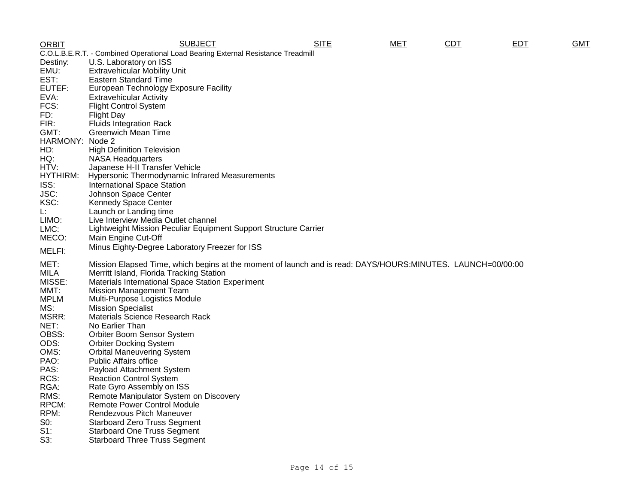| <b>ORBIT</b>                                                                     | <b>SUBJECT</b>                                                                                              | <b>SITE</b> | <b>MET</b> | <b>CDT</b> | <b>EDT</b> | <b>GMT</b> |  |
|----------------------------------------------------------------------------------|-------------------------------------------------------------------------------------------------------------|-------------|------------|------------|------------|------------|--|
| C.O.L.B.E.R.T. - Combined Operational Load Bearing External Resistance Treadmill |                                                                                                             |             |            |            |            |            |  |
| Destiny:                                                                         | U.S. Laboratory on ISS                                                                                      |             |            |            |            |            |  |
| EMU:                                                                             | <b>Extravehicular Mobility Unit</b>                                                                         |             |            |            |            |            |  |
| EST:                                                                             | <b>Eastern Standard Time</b>                                                                                |             |            |            |            |            |  |
| EUTEF:                                                                           | European Technology Exposure Facility                                                                       |             |            |            |            |            |  |
| EVA:                                                                             | <b>Extravehicular Activity</b>                                                                              |             |            |            |            |            |  |
| FCS:                                                                             | <b>Flight Control System</b>                                                                                |             |            |            |            |            |  |
| FD:                                                                              | <b>Flight Day</b>                                                                                           |             |            |            |            |            |  |
| FIR:                                                                             | <b>Fluids Integration Rack</b>                                                                              |             |            |            |            |            |  |
| GMT:                                                                             | <b>Greenwich Mean Time</b>                                                                                  |             |            |            |            |            |  |
| HARMONY: Node 2                                                                  |                                                                                                             |             |            |            |            |            |  |
| HD:                                                                              | <b>High Definition Television</b>                                                                           |             |            |            |            |            |  |
| HQ:                                                                              | <b>NASA Headquarters</b>                                                                                    |             |            |            |            |            |  |
| HTV:<br>HYTHIRM:                                                                 | Japanese H-II Transfer Vehicle<br><b>Hypersonic Thermodynamic Infrared Measurements</b>                     |             |            |            |            |            |  |
|                                                                                  |                                                                                                             |             |            |            |            |            |  |
| ISS:<br>JSC:                                                                     | <b>International Space Station</b><br>Johnson Space Center                                                  |             |            |            |            |            |  |
| KSC:                                                                             | <b>Kennedy Space Center</b>                                                                                 |             |            |            |            |            |  |
| L.                                                                               | Launch or Landing time                                                                                      |             |            |            |            |            |  |
| LIMO:                                                                            | Live Interview Media Outlet channel                                                                         |             |            |            |            |            |  |
| LMC:                                                                             | Lightweight Mission Peculiar Equipment Support Structure Carrier                                            |             |            |            |            |            |  |
| MECO:                                                                            | Main Engine Cut-Off                                                                                         |             |            |            |            |            |  |
|                                                                                  | Minus Eighty-Degree Laboratory Freezer for ISS                                                              |             |            |            |            |            |  |
| MELFI:                                                                           |                                                                                                             |             |            |            |            |            |  |
| MET:                                                                             | Mission Elapsed Time, which begins at the moment of launch and is read: DAYS/HOURS:MINUTES. LAUNCH=00/00:00 |             |            |            |            |            |  |
| MILA                                                                             | Merritt Island, Florida Tracking Station                                                                    |             |            |            |            |            |  |
| MISSE:                                                                           | Materials International Space Station Experiment                                                            |             |            |            |            |            |  |
| MMT:                                                                             | <b>Mission Management Team</b>                                                                              |             |            |            |            |            |  |
| <b>MPLM</b>                                                                      | Multi-Purpose Logistics Module                                                                              |             |            |            |            |            |  |
| MS:                                                                              | <b>Mission Specialist</b>                                                                                   |             |            |            |            |            |  |
| MSRR:                                                                            | Materials Science Research Rack                                                                             |             |            |            |            |            |  |
| NET:<br>OBSS:                                                                    | No Earlier Than                                                                                             |             |            |            |            |            |  |
| ODS:                                                                             | Orbiter Boom Sensor System<br><b>Orbiter Docking System</b>                                                 |             |            |            |            |            |  |
| OMS:                                                                             | <b>Orbital Maneuvering System</b>                                                                           |             |            |            |            |            |  |
| PAO:                                                                             | <b>Public Affairs office</b>                                                                                |             |            |            |            |            |  |
| PAS:                                                                             | Payload Attachment System                                                                                   |             |            |            |            |            |  |
| RCS:                                                                             | <b>Reaction Control System</b>                                                                              |             |            |            |            |            |  |
| RGA:                                                                             | Rate Gyro Assembly on ISS                                                                                   |             |            |            |            |            |  |
| RMS:                                                                             | Remote Manipulator System on Discovery                                                                      |             |            |            |            |            |  |
| RPCM:                                                                            | <b>Remote Power Control Module</b>                                                                          |             |            |            |            |            |  |
| RPM:                                                                             | Rendezvous Pitch Maneuver                                                                                   |             |            |            |            |            |  |
| S0:                                                                              | <b>Starboard Zero Truss Segment</b>                                                                         |             |            |            |            |            |  |
| $S1$ :                                                                           | <b>Starboard One Truss Segment</b>                                                                          |             |            |            |            |            |  |
| S3:                                                                              | <b>Starboard Three Truss Segment</b>                                                                        |             |            |            |            |            |  |